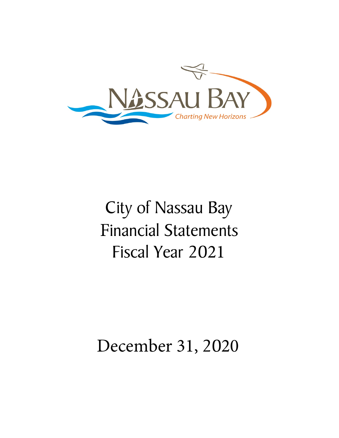

# City of Nassau Bay Financial Statements Fiscal Year 2021

## December 31, 2020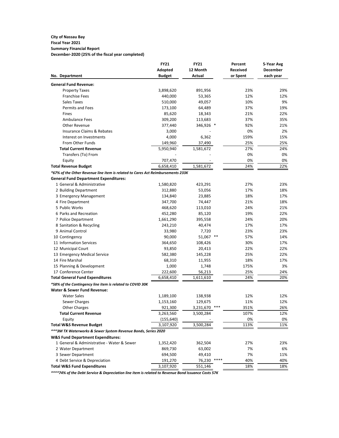#### **City of Nassau Bay Fiscal Year 2021**

## **Summary Financial Report**

**December-2020 (25% of the fiscal year completed)**

| <b>Adopted</b><br>12 Month<br><b>Received</b><br><b>December</b><br><b>Budget</b><br><b>Actual</b><br>or Spent<br>each year<br>No. Department<br><b>General Fund Revenue:</b><br>3,898,620<br>23%<br><b>Property Taxes</b><br>891,956<br>29%<br>12%<br><b>Franchise Fees</b><br>440,000<br>12%<br>53,365<br><b>Sales Taxes</b><br>510,000<br>10%<br>9%<br>49,057<br><b>Permits and Fees</b><br>173,100<br>64,489<br>37%<br>19%<br>85,620<br>18,343<br>21%<br>22%<br>Fines<br><b>Ambulance Fees</b><br>309,200<br>113,683<br>37%<br>35%<br><b>Other Revenue</b><br>346,926 *<br>92%<br>377,440<br>21%<br><b>Insurance Claims &amp; Rebates</b><br>3,000<br>0%<br>2%<br>4,000<br>6,362<br>159%<br>15%<br>Interest on Investments<br>From Other Funds<br>149,960<br>37,490<br>25%<br>25%<br>27%<br><b>Total Current Revenue</b><br>5,950,940<br>1,581,672<br>24%<br>0%<br>0%<br>Transfers (To) From<br>707,470<br>0%<br>Equity<br>0%<br>6,658,410<br>24%<br>22%<br><b>Total Revenue Budget</b><br>1,581,672<br>*67% of the Other Revenue line item is related to Cares Act Reimbursements 233K<br><b>General Fund Department Expenditures:</b><br>1 General & Administrative<br>27%<br>23%<br>1,580,820<br>423,291<br>17%<br>2 Building Department<br>312,880<br>53,056<br>18%<br>18%<br>3 Emergency Management<br>134,840<br>23,885<br>17%<br>4 Fire Department<br>347,700<br>21%<br>18%<br>74,447<br>5 Public Works<br>24%<br>468,620<br>113,010<br>21%<br>6 Parks and Recreation<br>452,280<br>85,120<br>19%<br>22%<br>24%<br>20%<br>7 Police Department<br>1,661,290<br>395,558<br>8 Sanitation & Recycling<br>17%<br>17%<br>243,210<br>40,474<br>9 Animal Control<br>23%<br>33,980<br>7,720<br>23%<br>90,000<br>51,067 **<br>57%<br>10 Contingency<br>14%<br>364,650<br>108,426<br>17%<br>11 Information Services<br>30%<br>22%<br>22%<br>12 Municipal Court<br>93,850<br>20,413<br>582,380<br>25%<br>22%<br>13 Emergency Medical Service<br>145,228<br>14 Fire Marshal<br>68,310<br>18%<br>11,955<br>17%<br>15 Planning & Development<br>1,000<br>175%<br>3%<br>1,748<br>17 Conference Center<br>222,600<br>25%<br>56,213<br>24%<br><b>Total General Fund Expenditures</b><br>6,658,410<br>24%<br>20%<br>1,611,610<br>*58% of the Contingency line item is related to COVID 30K<br><b>Water &amp; Sewer Fund Revenue:</b><br><b>Water Sales</b><br>12%<br>1,189,100<br>138,938<br>12%<br>11%<br>Sewer Charges<br>1,153,160<br>129,675<br>12%<br>$***$<br><b>Other Charges</b><br>351%<br>921,300<br>3,231,670<br>26%<br><b>Total Current Revenue</b><br>107%<br>3,263,560<br>12%<br>3,500,284<br>(155, 640)<br>0%<br>0%<br>Equity<br>113%<br>11%<br><b>Total W&amp;S Revenue Budget</b><br>3,107,920<br>3,500,284<br>*** 3M TX Waterworks & Sewer System Revenue Bonds, Series 2020<br><b>W&amp;S Fund Department Expenditures:</b><br>1 General & Administrative - Water & Sewer<br>27%<br>23%<br>1,352,420<br>362,504<br>869,730<br>63,002<br>7%<br>6%<br>2 Water Department<br>3 Sewer Department<br>694,500<br>49,410<br>7%<br>11%<br>****<br>4 Debt Service & Depreciation<br>76,230<br>40%<br>40%<br>191,270 |                                        | <b>FY21</b> | <b>FY21</b> | Percent | 5-Year Avg |
|-----------------------------------------------------------------------------------------------------------------------------------------------------------------------------------------------------------------------------------------------------------------------------------------------------------------------------------------------------------------------------------------------------------------------------------------------------------------------------------------------------------------------------------------------------------------------------------------------------------------------------------------------------------------------------------------------------------------------------------------------------------------------------------------------------------------------------------------------------------------------------------------------------------------------------------------------------------------------------------------------------------------------------------------------------------------------------------------------------------------------------------------------------------------------------------------------------------------------------------------------------------------------------------------------------------------------------------------------------------------------------------------------------------------------------------------------------------------------------------------------------------------------------------------------------------------------------------------------------------------------------------------------------------------------------------------------------------------------------------------------------------------------------------------------------------------------------------------------------------------------------------------------------------------------------------------------------------------------------------------------------------------------------------------------------------------------------------------------------------------------------------------------------------------------------------------------------------------------------------------------------------------------------------------------------------------------------------------------------------------------------------------------------------------------------------------------------------------------------------------------------------------------------------------------------------------------------------------------------------------------------------------------------------------------------------------------------------------------------------------------------------------------------------------------------------------------------------------------------------------------------------------------------------------------------------------------------------------------------------------------------------------------------------------------------------------------------------------------------------------------|----------------------------------------|-------------|-------------|---------|------------|
|                                                                                                                                                                                                                                                                                                                                                                                                                                                                                                                                                                                                                                                                                                                                                                                                                                                                                                                                                                                                                                                                                                                                                                                                                                                                                                                                                                                                                                                                                                                                                                                                                                                                                                                                                                                                                                                                                                                                                                                                                                                                                                                                                                                                                                                                                                                                                                                                                                                                                                                                                                                                                                                                                                                                                                                                                                                                                                                                                                                                                                                                                                                       |                                        |             |             |         |            |
|                                                                                                                                                                                                                                                                                                                                                                                                                                                                                                                                                                                                                                                                                                                                                                                                                                                                                                                                                                                                                                                                                                                                                                                                                                                                                                                                                                                                                                                                                                                                                                                                                                                                                                                                                                                                                                                                                                                                                                                                                                                                                                                                                                                                                                                                                                                                                                                                                                                                                                                                                                                                                                                                                                                                                                                                                                                                                                                                                                                                                                                                                                                       |                                        |             |             |         |            |
|                                                                                                                                                                                                                                                                                                                                                                                                                                                                                                                                                                                                                                                                                                                                                                                                                                                                                                                                                                                                                                                                                                                                                                                                                                                                                                                                                                                                                                                                                                                                                                                                                                                                                                                                                                                                                                                                                                                                                                                                                                                                                                                                                                                                                                                                                                                                                                                                                                                                                                                                                                                                                                                                                                                                                                                                                                                                                                                                                                                                                                                                                                                       |                                        |             |             |         |            |
|                                                                                                                                                                                                                                                                                                                                                                                                                                                                                                                                                                                                                                                                                                                                                                                                                                                                                                                                                                                                                                                                                                                                                                                                                                                                                                                                                                                                                                                                                                                                                                                                                                                                                                                                                                                                                                                                                                                                                                                                                                                                                                                                                                                                                                                                                                                                                                                                                                                                                                                                                                                                                                                                                                                                                                                                                                                                                                                                                                                                                                                                                                                       |                                        |             |             |         |            |
|                                                                                                                                                                                                                                                                                                                                                                                                                                                                                                                                                                                                                                                                                                                                                                                                                                                                                                                                                                                                                                                                                                                                                                                                                                                                                                                                                                                                                                                                                                                                                                                                                                                                                                                                                                                                                                                                                                                                                                                                                                                                                                                                                                                                                                                                                                                                                                                                                                                                                                                                                                                                                                                                                                                                                                                                                                                                                                                                                                                                                                                                                                                       |                                        |             |             |         |            |
|                                                                                                                                                                                                                                                                                                                                                                                                                                                                                                                                                                                                                                                                                                                                                                                                                                                                                                                                                                                                                                                                                                                                                                                                                                                                                                                                                                                                                                                                                                                                                                                                                                                                                                                                                                                                                                                                                                                                                                                                                                                                                                                                                                                                                                                                                                                                                                                                                                                                                                                                                                                                                                                                                                                                                                                                                                                                                                                                                                                                                                                                                                                       |                                        |             |             |         |            |
|                                                                                                                                                                                                                                                                                                                                                                                                                                                                                                                                                                                                                                                                                                                                                                                                                                                                                                                                                                                                                                                                                                                                                                                                                                                                                                                                                                                                                                                                                                                                                                                                                                                                                                                                                                                                                                                                                                                                                                                                                                                                                                                                                                                                                                                                                                                                                                                                                                                                                                                                                                                                                                                                                                                                                                                                                                                                                                                                                                                                                                                                                                                       |                                        |             |             |         |            |
|                                                                                                                                                                                                                                                                                                                                                                                                                                                                                                                                                                                                                                                                                                                                                                                                                                                                                                                                                                                                                                                                                                                                                                                                                                                                                                                                                                                                                                                                                                                                                                                                                                                                                                                                                                                                                                                                                                                                                                                                                                                                                                                                                                                                                                                                                                                                                                                                                                                                                                                                                                                                                                                                                                                                                                                                                                                                                                                                                                                                                                                                                                                       |                                        |             |             |         |            |
|                                                                                                                                                                                                                                                                                                                                                                                                                                                                                                                                                                                                                                                                                                                                                                                                                                                                                                                                                                                                                                                                                                                                                                                                                                                                                                                                                                                                                                                                                                                                                                                                                                                                                                                                                                                                                                                                                                                                                                                                                                                                                                                                                                                                                                                                                                                                                                                                                                                                                                                                                                                                                                                                                                                                                                                                                                                                                                                                                                                                                                                                                                                       |                                        |             |             |         |            |
|                                                                                                                                                                                                                                                                                                                                                                                                                                                                                                                                                                                                                                                                                                                                                                                                                                                                                                                                                                                                                                                                                                                                                                                                                                                                                                                                                                                                                                                                                                                                                                                                                                                                                                                                                                                                                                                                                                                                                                                                                                                                                                                                                                                                                                                                                                                                                                                                                                                                                                                                                                                                                                                                                                                                                                                                                                                                                                                                                                                                                                                                                                                       |                                        |             |             |         |            |
|                                                                                                                                                                                                                                                                                                                                                                                                                                                                                                                                                                                                                                                                                                                                                                                                                                                                                                                                                                                                                                                                                                                                                                                                                                                                                                                                                                                                                                                                                                                                                                                                                                                                                                                                                                                                                                                                                                                                                                                                                                                                                                                                                                                                                                                                                                                                                                                                                                                                                                                                                                                                                                                                                                                                                                                                                                                                                                                                                                                                                                                                                                                       |                                        |             |             |         |            |
|                                                                                                                                                                                                                                                                                                                                                                                                                                                                                                                                                                                                                                                                                                                                                                                                                                                                                                                                                                                                                                                                                                                                                                                                                                                                                                                                                                                                                                                                                                                                                                                                                                                                                                                                                                                                                                                                                                                                                                                                                                                                                                                                                                                                                                                                                                                                                                                                                                                                                                                                                                                                                                                                                                                                                                                                                                                                                                                                                                                                                                                                                                                       |                                        |             |             |         |            |
|                                                                                                                                                                                                                                                                                                                                                                                                                                                                                                                                                                                                                                                                                                                                                                                                                                                                                                                                                                                                                                                                                                                                                                                                                                                                                                                                                                                                                                                                                                                                                                                                                                                                                                                                                                                                                                                                                                                                                                                                                                                                                                                                                                                                                                                                                                                                                                                                                                                                                                                                                                                                                                                                                                                                                                                                                                                                                                                                                                                                                                                                                                                       |                                        |             |             |         |            |
|                                                                                                                                                                                                                                                                                                                                                                                                                                                                                                                                                                                                                                                                                                                                                                                                                                                                                                                                                                                                                                                                                                                                                                                                                                                                                                                                                                                                                                                                                                                                                                                                                                                                                                                                                                                                                                                                                                                                                                                                                                                                                                                                                                                                                                                                                                                                                                                                                                                                                                                                                                                                                                                                                                                                                                                                                                                                                                                                                                                                                                                                                                                       |                                        |             |             |         |            |
|                                                                                                                                                                                                                                                                                                                                                                                                                                                                                                                                                                                                                                                                                                                                                                                                                                                                                                                                                                                                                                                                                                                                                                                                                                                                                                                                                                                                                                                                                                                                                                                                                                                                                                                                                                                                                                                                                                                                                                                                                                                                                                                                                                                                                                                                                                                                                                                                                                                                                                                                                                                                                                                                                                                                                                                                                                                                                                                                                                                                                                                                                                                       |                                        |             |             |         |            |
|                                                                                                                                                                                                                                                                                                                                                                                                                                                                                                                                                                                                                                                                                                                                                                                                                                                                                                                                                                                                                                                                                                                                                                                                                                                                                                                                                                                                                                                                                                                                                                                                                                                                                                                                                                                                                                                                                                                                                                                                                                                                                                                                                                                                                                                                                                                                                                                                                                                                                                                                                                                                                                                                                                                                                                                                                                                                                                                                                                                                                                                                                                                       |                                        |             |             |         |            |
|                                                                                                                                                                                                                                                                                                                                                                                                                                                                                                                                                                                                                                                                                                                                                                                                                                                                                                                                                                                                                                                                                                                                                                                                                                                                                                                                                                                                                                                                                                                                                                                                                                                                                                                                                                                                                                                                                                                                                                                                                                                                                                                                                                                                                                                                                                                                                                                                                                                                                                                                                                                                                                                                                                                                                                                                                                                                                                                                                                                                                                                                                                                       |                                        |             |             |         |            |
|                                                                                                                                                                                                                                                                                                                                                                                                                                                                                                                                                                                                                                                                                                                                                                                                                                                                                                                                                                                                                                                                                                                                                                                                                                                                                                                                                                                                                                                                                                                                                                                                                                                                                                                                                                                                                                                                                                                                                                                                                                                                                                                                                                                                                                                                                                                                                                                                                                                                                                                                                                                                                                                                                                                                                                                                                                                                                                                                                                                                                                                                                                                       |                                        |             |             |         |            |
|                                                                                                                                                                                                                                                                                                                                                                                                                                                                                                                                                                                                                                                                                                                                                                                                                                                                                                                                                                                                                                                                                                                                                                                                                                                                                                                                                                                                                                                                                                                                                                                                                                                                                                                                                                                                                                                                                                                                                                                                                                                                                                                                                                                                                                                                                                                                                                                                                                                                                                                                                                                                                                                                                                                                                                                                                                                                                                                                                                                                                                                                                                                       |                                        |             |             |         |            |
|                                                                                                                                                                                                                                                                                                                                                                                                                                                                                                                                                                                                                                                                                                                                                                                                                                                                                                                                                                                                                                                                                                                                                                                                                                                                                                                                                                                                                                                                                                                                                                                                                                                                                                                                                                                                                                                                                                                                                                                                                                                                                                                                                                                                                                                                                                                                                                                                                                                                                                                                                                                                                                                                                                                                                                                                                                                                                                                                                                                                                                                                                                                       |                                        |             |             |         |            |
|                                                                                                                                                                                                                                                                                                                                                                                                                                                                                                                                                                                                                                                                                                                                                                                                                                                                                                                                                                                                                                                                                                                                                                                                                                                                                                                                                                                                                                                                                                                                                                                                                                                                                                                                                                                                                                                                                                                                                                                                                                                                                                                                                                                                                                                                                                                                                                                                                                                                                                                                                                                                                                                                                                                                                                                                                                                                                                                                                                                                                                                                                                                       |                                        |             |             |         |            |
|                                                                                                                                                                                                                                                                                                                                                                                                                                                                                                                                                                                                                                                                                                                                                                                                                                                                                                                                                                                                                                                                                                                                                                                                                                                                                                                                                                                                                                                                                                                                                                                                                                                                                                                                                                                                                                                                                                                                                                                                                                                                                                                                                                                                                                                                                                                                                                                                                                                                                                                                                                                                                                                                                                                                                                                                                                                                                                                                                                                                                                                                                                                       |                                        |             |             |         |            |
|                                                                                                                                                                                                                                                                                                                                                                                                                                                                                                                                                                                                                                                                                                                                                                                                                                                                                                                                                                                                                                                                                                                                                                                                                                                                                                                                                                                                                                                                                                                                                                                                                                                                                                                                                                                                                                                                                                                                                                                                                                                                                                                                                                                                                                                                                                                                                                                                                                                                                                                                                                                                                                                                                                                                                                                                                                                                                                                                                                                                                                                                                                                       |                                        |             |             |         |            |
|                                                                                                                                                                                                                                                                                                                                                                                                                                                                                                                                                                                                                                                                                                                                                                                                                                                                                                                                                                                                                                                                                                                                                                                                                                                                                                                                                                                                                                                                                                                                                                                                                                                                                                                                                                                                                                                                                                                                                                                                                                                                                                                                                                                                                                                                                                                                                                                                                                                                                                                                                                                                                                                                                                                                                                                                                                                                                                                                                                                                                                                                                                                       |                                        |             |             |         |            |
|                                                                                                                                                                                                                                                                                                                                                                                                                                                                                                                                                                                                                                                                                                                                                                                                                                                                                                                                                                                                                                                                                                                                                                                                                                                                                                                                                                                                                                                                                                                                                                                                                                                                                                                                                                                                                                                                                                                                                                                                                                                                                                                                                                                                                                                                                                                                                                                                                                                                                                                                                                                                                                                                                                                                                                                                                                                                                                                                                                                                                                                                                                                       |                                        |             |             |         |            |
|                                                                                                                                                                                                                                                                                                                                                                                                                                                                                                                                                                                                                                                                                                                                                                                                                                                                                                                                                                                                                                                                                                                                                                                                                                                                                                                                                                                                                                                                                                                                                                                                                                                                                                                                                                                                                                                                                                                                                                                                                                                                                                                                                                                                                                                                                                                                                                                                                                                                                                                                                                                                                                                                                                                                                                                                                                                                                                                                                                                                                                                                                                                       |                                        |             |             |         |            |
|                                                                                                                                                                                                                                                                                                                                                                                                                                                                                                                                                                                                                                                                                                                                                                                                                                                                                                                                                                                                                                                                                                                                                                                                                                                                                                                                                                                                                                                                                                                                                                                                                                                                                                                                                                                                                                                                                                                                                                                                                                                                                                                                                                                                                                                                                                                                                                                                                                                                                                                                                                                                                                                                                                                                                                                                                                                                                                                                                                                                                                                                                                                       |                                        |             |             |         |            |
|                                                                                                                                                                                                                                                                                                                                                                                                                                                                                                                                                                                                                                                                                                                                                                                                                                                                                                                                                                                                                                                                                                                                                                                                                                                                                                                                                                                                                                                                                                                                                                                                                                                                                                                                                                                                                                                                                                                                                                                                                                                                                                                                                                                                                                                                                                                                                                                                                                                                                                                                                                                                                                                                                                                                                                                                                                                                                                                                                                                                                                                                                                                       |                                        |             |             |         |            |
|                                                                                                                                                                                                                                                                                                                                                                                                                                                                                                                                                                                                                                                                                                                                                                                                                                                                                                                                                                                                                                                                                                                                                                                                                                                                                                                                                                                                                                                                                                                                                                                                                                                                                                                                                                                                                                                                                                                                                                                                                                                                                                                                                                                                                                                                                                                                                                                                                                                                                                                                                                                                                                                                                                                                                                                                                                                                                                                                                                                                                                                                                                                       |                                        |             |             |         |            |
|                                                                                                                                                                                                                                                                                                                                                                                                                                                                                                                                                                                                                                                                                                                                                                                                                                                                                                                                                                                                                                                                                                                                                                                                                                                                                                                                                                                                                                                                                                                                                                                                                                                                                                                                                                                                                                                                                                                                                                                                                                                                                                                                                                                                                                                                                                                                                                                                                                                                                                                                                                                                                                                                                                                                                                                                                                                                                                                                                                                                                                                                                                                       |                                        |             |             |         |            |
|                                                                                                                                                                                                                                                                                                                                                                                                                                                                                                                                                                                                                                                                                                                                                                                                                                                                                                                                                                                                                                                                                                                                                                                                                                                                                                                                                                                                                                                                                                                                                                                                                                                                                                                                                                                                                                                                                                                                                                                                                                                                                                                                                                                                                                                                                                                                                                                                                                                                                                                                                                                                                                                                                                                                                                                                                                                                                                                                                                                                                                                                                                                       |                                        |             |             |         |            |
|                                                                                                                                                                                                                                                                                                                                                                                                                                                                                                                                                                                                                                                                                                                                                                                                                                                                                                                                                                                                                                                                                                                                                                                                                                                                                                                                                                                                                                                                                                                                                                                                                                                                                                                                                                                                                                                                                                                                                                                                                                                                                                                                                                                                                                                                                                                                                                                                                                                                                                                                                                                                                                                                                                                                                                                                                                                                                                                                                                                                                                                                                                                       |                                        |             |             |         |            |
|                                                                                                                                                                                                                                                                                                                                                                                                                                                                                                                                                                                                                                                                                                                                                                                                                                                                                                                                                                                                                                                                                                                                                                                                                                                                                                                                                                                                                                                                                                                                                                                                                                                                                                                                                                                                                                                                                                                                                                                                                                                                                                                                                                                                                                                                                                                                                                                                                                                                                                                                                                                                                                                                                                                                                                                                                                                                                                                                                                                                                                                                                                                       |                                        |             |             |         |            |
|                                                                                                                                                                                                                                                                                                                                                                                                                                                                                                                                                                                                                                                                                                                                                                                                                                                                                                                                                                                                                                                                                                                                                                                                                                                                                                                                                                                                                                                                                                                                                                                                                                                                                                                                                                                                                                                                                                                                                                                                                                                                                                                                                                                                                                                                                                                                                                                                                                                                                                                                                                                                                                                                                                                                                                                                                                                                                                                                                                                                                                                                                                                       |                                        |             |             |         |            |
|                                                                                                                                                                                                                                                                                                                                                                                                                                                                                                                                                                                                                                                                                                                                                                                                                                                                                                                                                                                                                                                                                                                                                                                                                                                                                                                                                                                                                                                                                                                                                                                                                                                                                                                                                                                                                                                                                                                                                                                                                                                                                                                                                                                                                                                                                                                                                                                                                                                                                                                                                                                                                                                                                                                                                                                                                                                                                                                                                                                                                                                                                                                       |                                        |             |             |         |            |
|                                                                                                                                                                                                                                                                                                                                                                                                                                                                                                                                                                                                                                                                                                                                                                                                                                                                                                                                                                                                                                                                                                                                                                                                                                                                                                                                                                                                                                                                                                                                                                                                                                                                                                                                                                                                                                                                                                                                                                                                                                                                                                                                                                                                                                                                                                                                                                                                                                                                                                                                                                                                                                                                                                                                                                                                                                                                                                                                                                                                                                                                                                                       |                                        |             |             |         |            |
|                                                                                                                                                                                                                                                                                                                                                                                                                                                                                                                                                                                                                                                                                                                                                                                                                                                                                                                                                                                                                                                                                                                                                                                                                                                                                                                                                                                                                                                                                                                                                                                                                                                                                                                                                                                                                                                                                                                                                                                                                                                                                                                                                                                                                                                                                                                                                                                                                                                                                                                                                                                                                                                                                                                                                                                                                                                                                                                                                                                                                                                                                                                       |                                        |             |             |         |            |
|                                                                                                                                                                                                                                                                                                                                                                                                                                                                                                                                                                                                                                                                                                                                                                                                                                                                                                                                                                                                                                                                                                                                                                                                                                                                                                                                                                                                                                                                                                                                                                                                                                                                                                                                                                                                                                                                                                                                                                                                                                                                                                                                                                                                                                                                                                                                                                                                                                                                                                                                                                                                                                                                                                                                                                                                                                                                                                                                                                                                                                                                                                                       |                                        |             |             |         |            |
|                                                                                                                                                                                                                                                                                                                                                                                                                                                                                                                                                                                                                                                                                                                                                                                                                                                                                                                                                                                                                                                                                                                                                                                                                                                                                                                                                                                                                                                                                                                                                                                                                                                                                                                                                                                                                                                                                                                                                                                                                                                                                                                                                                                                                                                                                                                                                                                                                                                                                                                                                                                                                                                                                                                                                                                                                                                                                                                                                                                                                                                                                                                       |                                        |             |             |         |            |
|                                                                                                                                                                                                                                                                                                                                                                                                                                                                                                                                                                                                                                                                                                                                                                                                                                                                                                                                                                                                                                                                                                                                                                                                                                                                                                                                                                                                                                                                                                                                                                                                                                                                                                                                                                                                                                                                                                                                                                                                                                                                                                                                                                                                                                                                                                                                                                                                                                                                                                                                                                                                                                                                                                                                                                                                                                                                                                                                                                                                                                                                                                                       |                                        |             |             |         |            |
|                                                                                                                                                                                                                                                                                                                                                                                                                                                                                                                                                                                                                                                                                                                                                                                                                                                                                                                                                                                                                                                                                                                                                                                                                                                                                                                                                                                                                                                                                                                                                                                                                                                                                                                                                                                                                                                                                                                                                                                                                                                                                                                                                                                                                                                                                                                                                                                                                                                                                                                                                                                                                                                                                                                                                                                                                                                                                                                                                                                                                                                                                                                       |                                        |             |             |         |            |
|                                                                                                                                                                                                                                                                                                                                                                                                                                                                                                                                                                                                                                                                                                                                                                                                                                                                                                                                                                                                                                                                                                                                                                                                                                                                                                                                                                                                                                                                                                                                                                                                                                                                                                                                                                                                                                                                                                                                                                                                                                                                                                                                                                                                                                                                                                                                                                                                                                                                                                                                                                                                                                                                                                                                                                                                                                                                                                                                                                                                                                                                                                                       |                                        |             |             |         |            |
|                                                                                                                                                                                                                                                                                                                                                                                                                                                                                                                                                                                                                                                                                                                                                                                                                                                                                                                                                                                                                                                                                                                                                                                                                                                                                                                                                                                                                                                                                                                                                                                                                                                                                                                                                                                                                                                                                                                                                                                                                                                                                                                                                                                                                                                                                                                                                                                                                                                                                                                                                                                                                                                                                                                                                                                                                                                                                                                                                                                                                                                                                                                       |                                        |             |             |         |            |
|                                                                                                                                                                                                                                                                                                                                                                                                                                                                                                                                                                                                                                                                                                                                                                                                                                                                                                                                                                                                                                                                                                                                                                                                                                                                                                                                                                                                                                                                                                                                                                                                                                                                                                                                                                                                                                                                                                                                                                                                                                                                                                                                                                                                                                                                                                                                                                                                                                                                                                                                                                                                                                                                                                                                                                                                                                                                                                                                                                                                                                                                                                                       |                                        |             |             |         |            |
|                                                                                                                                                                                                                                                                                                                                                                                                                                                                                                                                                                                                                                                                                                                                                                                                                                                                                                                                                                                                                                                                                                                                                                                                                                                                                                                                                                                                                                                                                                                                                                                                                                                                                                                                                                                                                                                                                                                                                                                                                                                                                                                                                                                                                                                                                                                                                                                                                                                                                                                                                                                                                                                                                                                                                                                                                                                                                                                                                                                                                                                                                                                       |                                        |             |             |         |            |
|                                                                                                                                                                                                                                                                                                                                                                                                                                                                                                                                                                                                                                                                                                                                                                                                                                                                                                                                                                                                                                                                                                                                                                                                                                                                                                                                                                                                                                                                                                                                                                                                                                                                                                                                                                                                                                                                                                                                                                                                                                                                                                                                                                                                                                                                                                                                                                                                                                                                                                                                                                                                                                                                                                                                                                                                                                                                                                                                                                                                                                                                                                                       |                                        |             |             |         |            |
|                                                                                                                                                                                                                                                                                                                                                                                                                                                                                                                                                                                                                                                                                                                                                                                                                                                                                                                                                                                                                                                                                                                                                                                                                                                                                                                                                                                                                                                                                                                                                                                                                                                                                                                                                                                                                                                                                                                                                                                                                                                                                                                                                                                                                                                                                                                                                                                                                                                                                                                                                                                                                                                                                                                                                                                                                                                                                                                                                                                                                                                                                                                       |                                        |             |             |         |            |
|                                                                                                                                                                                                                                                                                                                                                                                                                                                                                                                                                                                                                                                                                                                                                                                                                                                                                                                                                                                                                                                                                                                                                                                                                                                                                                                                                                                                                                                                                                                                                                                                                                                                                                                                                                                                                                                                                                                                                                                                                                                                                                                                                                                                                                                                                                                                                                                                                                                                                                                                                                                                                                                                                                                                                                                                                                                                                                                                                                                                                                                                                                                       |                                        |             |             |         |            |
|                                                                                                                                                                                                                                                                                                                                                                                                                                                                                                                                                                                                                                                                                                                                                                                                                                                                                                                                                                                                                                                                                                                                                                                                                                                                                                                                                                                                                                                                                                                                                                                                                                                                                                                                                                                                                                                                                                                                                                                                                                                                                                                                                                                                                                                                                                                                                                                                                                                                                                                                                                                                                                                                                                                                                                                                                                                                                                                                                                                                                                                                                                                       |                                        |             |             |         |            |
|                                                                                                                                                                                                                                                                                                                                                                                                                                                                                                                                                                                                                                                                                                                                                                                                                                                                                                                                                                                                                                                                                                                                                                                                                                                                                                                                                                                                                                                                                                                                                                                                                                                                                                                                                                                                                                                                                                                                                                                                                                                                                                                                                                                                                                                                                                                                                                                                                                                                                                                                                                                                                                                                                                                                                                                                                                                                                                                                                                                                                                                                                                                       |                                        |             |             |         |            |
|                                                                                                                                                                                                                                                                                                                                                                                                                                                                                                                                                                                                                                                                                                                                                                                                                                                                                                                                                                                                                                                                                                                                                                                                                                                                                                                                                                                                                                                                                                                                                                                                                                                                                                                                                                                                                                                                                                                                                                                                                                                                                                                                                                                                                                                                                                                                                                                                                                                                                                                                                                                                                                                                                                                                                                                                                                                                                                                                                                                                                                                                                                                       | <b>Total W&amp;S Fund Expenditures</b> | 3,107,920   | 551,146     | 18%     | 18%        |

*\*\*\*\*74% of the Debt Service & Depreciation line item is related to Revenue Bond Issuance Costs 57K*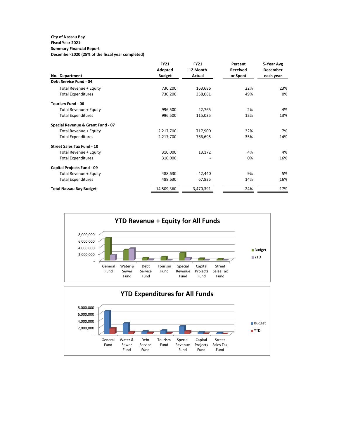## **City of Nassau Bay**

#### **Fiscal Year 2021 Summary Financial Report**

**December-2020 (25% of the fiscal year completed)**

|                                   | <b>FY21</b>   | <b>FY21</b>   | Percent         | 5-Year Avg      |
|-----------------------------------|---------------|---------------|-----------------|-----------------|
|                                   | Adopted       | 12 Month      | <b>Received</b> | <b>December</b> |
| No. Department                    | <b>Budget</b> | <b>Actual</b> | or Spent        | each year       |
| <b>Debt Service Fund - 04</b>     |               |               |                 |                 |
| Total Revenue + Equity            | 730,200       | 163,686       | 22%             | 23%             |
| <b>Total Expenditures</b>         | 730,200       | 358,081       | 49%             | 0%              |
| <b>Tourism Fund - 06</b>          |               |               |                 |                 |
| Total Revenue + Equity            | 996,500       | 22,765        | 2%              | 4%              |
| <b>Total Expenditures</b>         | 996,500       | 115,035       | 12%             | 13%             |
| Special Revenue & Grant Fund - 07 |               |               |                 |                 |
| Total Revenue + Equity            | 2,217,700     | 717,900       | 32%             | 7%              |
| <b>Total Expenditures</b>         | 2,217,700     | 766,695       | 35%             | 14%             |
| <b>Street Sales Tax Fund - 10</b> |               |               |                 |                 |
| Total Revenue + Equity            | 310,000       | 13,172        | 4%              | 4%              |
| <b>Total Expenditures</b>         | 310,000       |               | 0%              | 16%             |
| <b>Capital Projects Fund - 09</b> |               |               |                 |                 |
| Total Revenue + Equity            | 488,630       | 42,440        | 9%              | 5%              |
| <b>Total Expenditures</b>         | 488,630       | 67,825        | 14%             | 16%             |
| <b>Total Nassau Bay Budget</b>    | 14,509,360    | 3,470,391     | 24%             | 17%             |

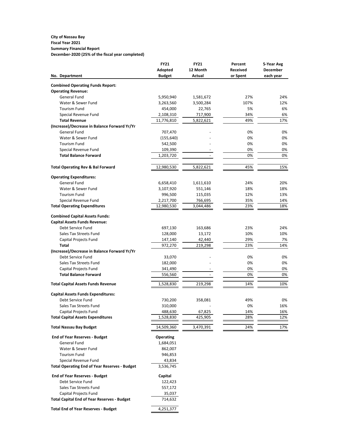#### **City of Nassau Bay Fiscal Year 2021 Summary Financial Report December-2020 (25% of the fiscal year completed)**

|                                                      | <b>FY21</b>      | <b>FY21</b>   | Percent         | 5-Year Avg      |  |  |
|------------------------------------------------------|------------------|---------------|-----------------|-----------------|--|--|
|                                                      | <b>Adopted</b>   | 12 Month      | <b>Received</b> | <b>December</b> |  |  |
| No. Department                                       | <b>Budget</b>    | <b>Actual</b> | or Spent        | each year       |  |  |
| <b>Combined Operating Funds Report:</b>              |                  |               |                 |                 |  |  |
| <b>Operating Revenue:</b>                            |                  |               |                 |                 |  |  |
| <b>General Fund</b>                                  | 5,950,940        | 1,581,672     | 27%             | 24%             |  |  |
| Water & Sewer Fund                                   | 3,263,560        | 3,500,284     | 107%            | 12%             |  |  |
| <b>Tourism Fund</b>                                  | 454,000          | 22,765        | 5%              | 6%              |  |  |
| Special Revenue Fund                                 | 2,108,310        | 717,900       | 34%             | 6%              |  |  |
| <b>Total Revenue</b>                                 | 11,776,810       | 5,822,621     | 49%             | 17%             |  |  |
| (Increase)/Decrease in Balance Forward Yr/Yr         |                  |               |                 |                 |  |  |
| <b>General Fund</b>                                  | 707,470          |               | 0%              | 0%              |  |  |
| Water & Sewer Fund                                   | (155, 640)       |               | 0%              | 0%              |  |  |
| <b>Tourism Fund</b>                                  | 542,500          |               | 0%              | 0%              |  |  |
| Special Revenue Fund                                 | 109,390          |               | 0%              | 0%              |  |  |
| <b>Total Balance Forward</b>                         | 1,203,720        |               | 0%              | 0%              |  |  |
|                                                      |                  |               |                 |                 |  |  |
| <b>Total Operating Rev &amp; Bal Forward</b>         | 12,980,530       | 5,822,621     | 45%             | 15%             |  |  |
| <b>Operating Expenditures:</b>                       |                  |               |                 |                 |  |  |
| <b>General Fund</b>                                  | 6,658,410        | 1,611,610     | 24%             | 20%             |  |  |
| Water & Sewer Fund                                   | 3,107,920        | 551,146       | 18%             | 18%             |  |  |
| <b>Tourism Fund</b>                                  | 996,500          | 115,035       | 12%             | 13%             |  |  |
| Special Revenue Fund                                 | 2,217,700        | 766,695       | 35%             | 14%             |  |  |
| <b>Total Operating Expenditures</b>                  | 12,980,530       | 3,044,486     | 23%             | 18%             |  |  |
| <b>Combined Capital Assets Funds:</b>                |                  |               |                 |                 |  |  |
| <b>Capital Assets Funds Revenue:</b>                 |                  |               |                 |                 |  |  |
| Debt Service Fund                                    | 697,130          | 163,686       | 23%             | 24%             |  |  |
| <b>Sales Tax Streets Fund</b>                        | 128,000          | 13,172        | 10%             | 10%             |  |  |
| <b>Capital Projects Fund</b>                         | 147,140          | 42,440        | 29%             | 7%              |  |  |
| <b>Total</b>                                         | 972,270          | 219,298       | 23%             | 14%             |  |  |
| (Increase)/Decrease in Balance Forward Yr/Yr         |                  |               |                 |                 |  |  |
| Debt Service Fund                                    | 33,070           |               | 0%              | 0%              |  |  |
| <b>Sales Tax Streets Fund</b>                        | 182,000          |               | 0%              | 0%              |  |  |
| Capital Projects Fund                                | 341,490          |               | 0%              | 0%              |  |  |
| <b>Total Balance Forward</b>                         | 556,560          |               | 0%              | 0%              |  |  |
|                                                      |                  |               |                 |                 |  |  |
| <b>Total Capital Assets Funds Revenue</b>            | 1,528,830        | 219,298       | 14%             | 10%             |  |  |
| <b>Capital Assets Funds Expenditures:</b>            |                  |               |                 |                 |  |  |
| Debt Service Fund                                    | 730,200          | 358,081       | 49%             | 0%              |  |  |
| <b>Sales Tax Streets Fund</b>                        | 310,000          |               | 0%              | 16%             |  |  |
| Capital Projects Fund                                | 488,630          | 67,825        | 14%             | 16%             |  |  |
| <b>Total Capital Assets Expenditures</b>             | 1,528,830        | 425,905       | 28%             | 12%             |  |  |
| <b>Total Nassau Bay Budget</b>                       | 14,509,360       | 3,470,391     | 24%             | 17%             |  |  |
| <b>End of Year Reserves - Budget</b>                 | <b>Operating</b> |               |                 |                 |  |  |
| <b>General Fund</b>                                  | 1,684,051        |               |                 |                 |  |  |
| Water & Sewer Fund                                   | 862,007          |               |                 |                 |  |  |
| <b>Tourism Fund</b>                                  | 946,853          |               |                 |                 |  |  |
| Special Revenue Fund                                 | 43,834           |               |                 |                 |  |  |
| <b>Total Operating End of Year Reserves - Budget</b> | 3,536,745        |               |                 |                 |  |  |
| <b>End of Year Reserves - Budget</b>                 | Capital          |               |                 |                 |  |  |
| Debt Service Fund                                    | 122,423          |               |                 |                 |  |  |
| <b>Sales Tax Streets Fund</b>                        | 557,172          |               |                 |                 |  |  |
| Capital Projects Fund                                | 35,037           |               |                 |                 |  |  |
| <b>Total Capital End of Year Reserves - Budget</b>   | 714,632          |               |                 |                 |  |  |
|                                                      |                  |               |                 |                 |  |  |
| <b>Total End of Year Reserves - Budget</b>           | 4,251,377        |               |                 |                 |  |  |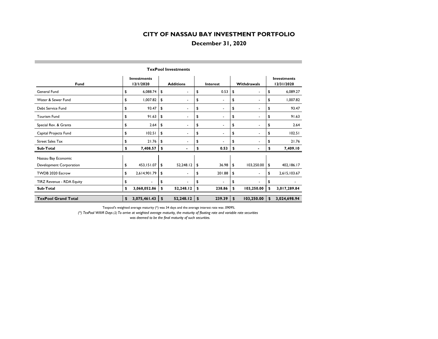## **December 31, 2020**

| <b>Fund</b>                | <b>Investments</b><br>12/1/2020 |                | <b>Additions</b> |                          | <b>Interest</b> |                | Withdrawals |                          | <b>Investments</b><br>12/31/2020 |              |
|----------------------------|---------------------------------|----------------|------------------|--------------------------|-----------------|----------------|-------------|--------------------------|----------------------------------|--------------|
| <b>General Fund</b>        | \$                              | 6,088.74       | \$               | $\overline{\phantom{a}}$ | \$              | 0.53           | \$          | $\blacksquare$           | \$                               | 6,089.27     |
| Water & Sewer Fund         | \$                              | 1,007.82       | \$               | $\overline{\phantom{a}}$ | \$              | ٠              | \$          | $\overline{\phantom{a}}$ | \$                               | 1,007.82     |
| Debt Service Fund          | \$                              | 93.47          | \$               | $\overline{\phantom{a}}$ | \$              | $\blacksquare$ | \$          | $\blacksquare$           | \$                               | 93.47        |
| <b>Tourism Fund</b>        | \$                              | 91.63          | \$               | $\blacksquare$           | \$              | $\blacksquare$ | \$          | ۰                        | \$                               | 91.63        |
| Special Rev. & Grants      | \$                              | 2.64           | \$               | $\overline{\phantom{a}}$ | \$              | ٠              | \$          | ۰.                       | \$                               | 2.64         |
| Capital Projects Fund      | \$                              | 102.51         | \$               | $\overline{\phantom{a}}$ | \$              | $\blacksquare$ | \$          | ۰                        | \$                               | 102.51       |
| <b>Street Sales Tax</b>    | \$                              | 21.76          | \$               | $\overline{\phantom{a}}$ | \$              | $\blacksquare$ | \$          | $\blacksquare$           | \$                               | 21.76        |
| Sub-Total                  | \$                              | 7,408.57       | \$               | $\blacksquare$           | \$              | 0.53           | \$          | ۰                        | \$                               | 7,409.10     |
| Nassau Bay Economic        |                                 |                |                  |                          |                 |                |             |                          |                                  |              |
| Development Corporation    | \$                              | 453,151.07     | \$               | 52,248.12                | \$              | 36.98          | \$          | 103,250.00               | \$                               | 402,186.17   |
| TWDB 2020 Escrow           | \$                              | 2,614,901.79   | \$               | $\overline{\phantom{a}}$ | \$              | 201.88         | \$          | $\blacksquare$           | \$                               | 2,615,103.67 |
| TIRZ Revenue - RDA Equity  | \$                              | $\blacksquare$ | \$               |                          | \$              | $\blacksquare$ | \$          | $\blacksquare$           | \$                               |              |
| Sub-Total                  | \$                              | 3,068,052.86   | \$               | 52,248.12                | \$              | 238.86         | \$          | 103,250.00               | \$                               | 3,017,289.84 |
| <b>TexPool Grand Total</b> | \$                              | 3,075,461.43   | \$               | 52,248.12                | \$              | 239.39         | \$          | 103,250.00               | \$                               | 3,024,698.94 |

**TexPool Investments**

Texpool's weighted average maturity (\*) was 34 days and the average interest rate was .0909%.

*(\*) TexPool WAM Days (2) To arrive at weighted average maturity, the maturity of floating rate and variable rate securities*  was deemed to be the final maturity of such securities.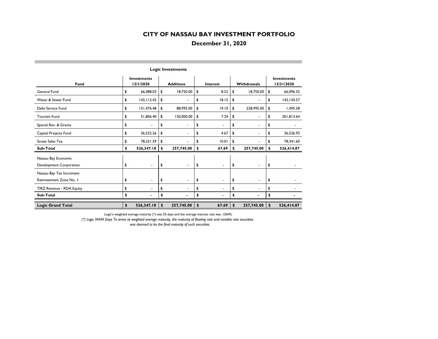## **December 31, 2020**

|                           |                                 |                           | Lugic investments        |                      |                                |                                  |  |  |
|---------------------------|---------------------------------|---------------------------|--------------------------|----------------------|--------------------------------|----------------------------------|--|--|
| <b>Fund</b>               | <b>Investments</b><br>12/1/2020 |                           | <b>Additions</b>         | <b>Interest</b>      | <b>Withdrawals</b>             | <b>Investments</b><br>12/31/2020 |  |  |
| <b>General Fund</b>       | \$<br>66,088.03                 | \$                        | 18,750.00                | \$<br>8.52           | \$<br>18,750.00                | \$<br>66,096.55                  |  |  |
| Water & Sewer Fund        | \$<br>142, 112.42               | \$                        | ۰                        | \$<br>18.15          | \$<br>$\overline{\phantom{a}}$ | \$<br>142,130.57                 |  |  |
| Debt Service Fund         | \$<br>151,476.48                | \$                        | 88,995.00                | \$<br>19.10          | \$<br>238,995.00               | \$<br>1,495.58                   |  |  |
| <b>Tourism Fund</b>       | \$<br>51,806.40                 | \$                        | 150,000.00               | \$<br>7.24           | \$<br>$\overline{\phantom{a}}$ | \$<br>201,813.64                 |  |  |
| Special Rev. & Grants     | \$<br>$\blacksquare$            | \$                        | ٠                        | \$<br>$\blacksquare$ | \$<br>$\blacksquare$           | \$                               |  |  |
| Capital Projects Fund     | \$<br>36,532.26                 | \$                        | $\blacksquare$           | \$<br>4.67           | \$<br>$\blacksquare$           | \$<br>36,536.93                  |  |  |
| <b>Street Sales Tax</b>   | \$<br>78,331.59                 | \$                        | ä,                       | \$<br>10.01          | \$                             | \$<br>78,341.60                  |  |  |
| Sub-Total                 | \$<br>526,347.18                | \$                        | 257,745.00               | \$<br>67.69          | \$<br>257,745.00               | \$<br>526,414.87                 |  |  |
| Nassau Bay Economic       |                                 |                           |                          |                      |                                |                                  |  |  |
| Development Corporation   | \$<br>$\blacksquare$            | \$                        | $\blacksquare$           | \$<br>$\blacksquare$ | \$<br>$\blacksquare$           | \$                               |  |  |
| Nassau Bay Tax Increment  |                                 |                           |                          |                      |                                |                                  |  |  |
| Reinvestment Zone No. I   | \$<br>$\blacksquare$            | \$                        | $\blacksquare$           | \$<br>$\blacksquare$ | \$<br>$\blacksquare$           | \$                               |  |  |
| TIRZ Revenue - RDA Equity | \$<br>$\overline{\phantom{a}}$  | \$                        | $\overline{\phantom{0}}$ | \$<br>۰              | \$<br>$\blacksquare$           | \$                               |  |  |
| Sub-Total                 | \$                              | \$                        |                          | \$                   | \$                             | \$                               |  |  |
| <b>Logic Grand Total</b>  | \$<br>526,347.18                | $\boldsymbol{\mathsf{s}}$ | 257,745.00               | \$<br>67.69          | \$<br>257,745.00               | \$<br>526,414.87                 |  |  |

**Logic Investments**

Logic's weighted average maturity (\*) was 55 days and the average interest rate was .1504%.

*(\*) Logic WAM Days To arrive at weighted average maturity, the maturity of floating rate and variable rate securities* 

 *was deemed to be the final maturity of such securities.*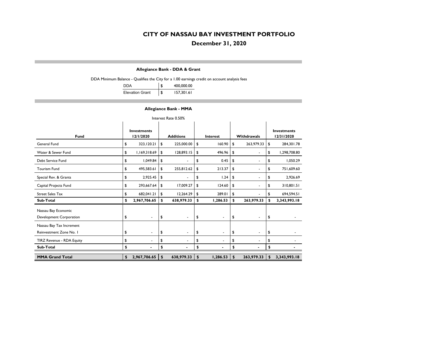## **December 31, 2020**

#### **Allegiance Bank - DDA & Grant**

DDA Minimum Balance - Qualifies the City for a 1.00 earnings credit on account analysis fees

| DDA                    |     | 400,000.00 |
|------------------------|-----|------------|
| <b>Elevation Grant</b> | -\$ | 157,301.61 |

#### **Allegiance Bank - MMA**

|                                                | Interest Rate 0.50% |                                 |    |                          |                           |                          |    |                          |    |                                  |  |  |  |  |
|------------------------------------------------|---------------------|---------------------------------|----|--------------------------|---------------------------|--------------------------|----|--------------------------|----|----------------------------------|--|--|--|--|
| <b>Fund</b>                                    |                     | <b>Investments</b><br>12/1/2020 |    | <b>Additions</b>         |                           | <b>Interest</b>          |    | <b>Withdrawals</b>       |    | <b>Investments</b><br>12/31/2020 |  |  |  |  |
| General Fund                                   | \$                  | 323, 120.21                     | \$ | 225,000.00               | \$                        | 160.90                   | \$ | 263,979.33               | \$ | 284,301.78                       |  |  |  |  |
| Water & Sewer Fund                             | \$                  | 1,169,318.69                    | \$ | 128,893.15               | \$                        | 496.96                   | \$ | $\blacksquare$           | \$ | 1,298,708.80                     |  |  |  |  |
| Debt Service Fund                              | \$                  | 1,049.84                        | \$ | -                        | \$                        | 0.45                     | \$ | $\blacksquare$           | \$ | 1,050.29                         |  |  |  |  |
| <b>Tourism Fund</b>                            | \$                  | 495,583.61                      | \$ | 255,812.62               | \$                        | 213.37                   | \$ | $\overline{\phantom{a}}$ | \$ | 751,609.60                       |  |  |  |  |
| Special Rev. & Grants                          | \$                  | 2,925.45                        | \$ | ٠                        | \$                        | 1.24                     | \$ | $\blacksquare$           | \$ | 2,926.69                         |  |  |  |  |
| Capital Projects Fund                          | \$                  | 293,667.64                      | \$ | 17,009.27                | \$                        | 124.60                   | \$ | $\blacksquare$           | \$ | 310,801.51                       |  |  |  |  |
| <b>Street Sales Tax</b>                        | \$                  | 682,041.21                      | \$ | 12,264.29                | \$                        | 289.01                   | \$ | $\blacksquare$           | \$ | 694,594.51                       |  |  |  |  |
| Sub-Total                                      | \$                  | 2,967,706.65                    | \$ | 638,979.33               | \$                        | 1,286.53                 | \$ | 263,979.33               | \$ | 3,343,993.18                     |  |  |  |  |
| Nassau Bay Economic<br>Development Corporation | \$                  | $\blacksquare$                  | \$ | $\blacksquare$           | \$                        | $\blacksquare$           | \$ | $\blacksquare$           | \$ |                                  |  |  |  |  |
| Nassau Bay Tax Increment                       |                     |                                 |    |                          |                           |                          |    |                          |    |                                  |  |  |  |  |
| Reinvestment Zone No. I                        | \$                  | $\overline{\phantom{a}}$        | \$ | $\overline{\phantom{a}}$ | \$                        | $\overline{\phantom{0}}$ | \$ | $\blacksquare$           | \$ |                                  |  |  |  |  |
| <b>TIRZ Revenue - RDA Equity</b>               | \$                  |                                 | \$ | ۰                        | \$                        | Ĭ.                       | \$ | $\blacksquare$           | \$ |                                  |  |  |  |  |
| Sub-Total                                      | \$                  | $\blacksquare$                  | \$ |                          | \$                        | $\blacksquare$           | \$ |                          | \$ |                                  |  |  |  |  |
| <b>MMA Grand Total</b>                         | \$                  | 2,967,706.65                    | \$ | 638,979.33               | $\boldsymbol{\mathsf{s}}$ | 1,286.53                 | \$ | 263,979.33               | \$ | 3,343,993.18                     |  |  |  |  |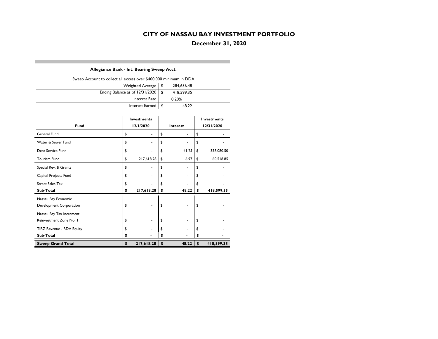**December 31, 2020**

#### **Allegiance Bank - Int. Bearing Sweep Acct.**

| Sweep Account to collect all excess over \$400,000 minimum in DDA |      |            |  |
|-------------------------------------------------------------------|------|------------|--|
| Weighted Average                                                  | - \$ | 284,656.48 |  |
| Ending Balance as of 12/31/2020                                   | - \$ | 418,599.35 |  |
| Interest Rate                                                     |      | 0.20%      |  |
| Interest Earned $\vert \mathcal{S} \vert$                         |      | 48.22      |  |

|                           | <b>Investments</b> |            |               |                 | <b>Investments</b> |
|---------------------------|--------------------|------------|---------------|-----------------|--------------------|
| <b>Fund</b>               |                    | 12/1/2020  |               | <b>Interest</b> | 12/31/2020         |
| General Fund              | \$                 |            | \$            |                 | \$                 |
| Water & Sewer Fund        | \$                 |            | \$            |                 | \$                 |
| Debt Service Fund         | \$                 |            | \$            | 41.25           | \$<br>358,080.50   |
| <b>Tourism Fund</b>       | \$                 | 217,618.28 | \$            | 6.97            | \$<br>60,518.85    |
| Special Rev. & Grants     | \$                 |            | \$            |                 | \$                 |
| Capital Projects Fund     | \$                 |            | \$            |                 | \$                 |
| <b>Street Sales Tax</b>   | \$                 |            | \$            |                 | \$                 |
| <b>Sub-Total</b>          | \$                 | 217,618.28 | \$            | 48.22           | \$<br>418,599.35   |
| Nassau Bay Economic       |                    |            |               |                 |                    |
| Development Corporation   | \$                 |            | \$            |                 | \$                 |
| Nassau Bay Tax Increment  |                    |            |               |                 |                    |
| Reinvestment Zone No. I   | \$                 |            | \$            | $\blacksquare$  | \$                 |
| TIRZ Revenue - RDA Equity | \$                 |            | \$            |                 | \$                 |
| Sub-Total                 | \$                 |            | \$            |                 | \$                 |
| <b>Sweep Grand Total</b>  | \$                 | 217,618.28 | $\frac{1}{2}$ | 48.22           | \$<br>418,599.35   |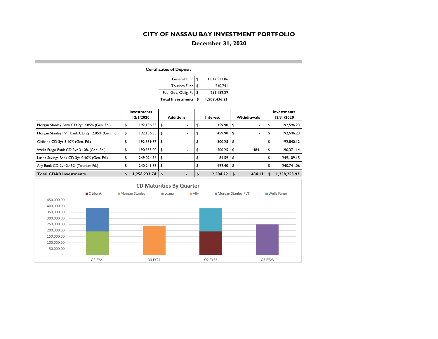## **December 31, 2020**

| <b>Certificates of Deposit</b>                                                                                                                               |                                 |              |    |                          |    |                 |             |                          |    |                                  |  |  |
|--------------------------------------------------------------------------------------------------------------------------------------------------------------|---------------------------------|--------------|----|--------------------------|----|-----------------|-------------|--------------------------|----|----------------------------------|--|--|
|                                                                                                                                                              |                                 |              |    | General Fund \$          |    | 1,017,512.86    |             |                          |    |                                  |  |  |
|                                                                                                                                                              |                                 |              |    | <b>Tourism Fund</b>      | \$ | 240,741         |             |                          |    |                                  |  |  |
|                                                                                                                                                              |                                 |              |    | Fed. Gov. Oblig. Fd      | \$ | 251,182.29      |             |                          |    |                                  |  |  |
|                                                                                                                                                              |                                 |              |    | Total Investments \$     |    | 1,509,436.21    |             |                          |    |                                  |  |  |
|                                                                                                                                                              | <b>Investments</b><br>12/1/2020 |              |    | <b>Additions</b>         |    | <b>Interest</b> | Withdrawals |                          |    | <b>Investments</b><br>12/31/2020 |  |  |
| Morgan Stanley Bank CD 2yr 2.85% (Gen. Fd.)                                                                                                                  | \$                              | 192,136.33   | \$ | $\blacksquare$           | \$ | 459.90          | \$          | $\blacksquare$           | \$ | 192,596.23                       |  |  |
| Morgan Stanley PVT Bank CD 2yr 2.85% (Gen. Fd.)                                                                                                              | \$                              | 192,136.33   | \$ |                          | \$ | 459.90          | \$          |                          | \$ | 192,596.23                       |  |  |
| Citibank CD 3yr 3.10% (Gen. Fd.)                                                                                                                             | \$                              | 192,339.87   | \$ | $\blacksquare$           | \$ | 500.25          | \$          | $\overline{\phantom{a}}$ | \$ | 192,840.12                       |  |  |
| Wells Fargo Bank CD 3yr 3.10% (Gen. Fd.)                                                                                                                     | \$                              | 190,355.00   | \$ | $\overline{\phantom{a}}$ | \$ | 500.25          | \$          | 484.II                   | \$ | 190,371.14                       |  |  |
| Luana Savings Bank CD 3yr 0.40% (Gen. Fd.)                                                                                                                   | \$                              | 249,024.56   | \$ | $\overline{\phantom{a}}$ | \$ | 84.59           | \$          |                          | \$ | 249, 109. 15                     |  |  |
| Ally Bank CD 2yr 2.45% (Tourism Fd.)                                                                                                                         | \$                              | 240,241.66   | \$ |                          | \$ | 499.40          | \$          |                          | \$ | 240,741.06                       |  |  |
| <b>Total CDAR Investments</b>                                                                                                                                | \$                              | 1,256,233.74 | \$ | $\blacksquare$           | \$ | 2,504.29        | \$          | 484.II                   | \$ | 1,258,253.92                     |  |  |
| <b>CD Maturities By Quarter</b><br>$\blacksquare$ Citibank<br>Morgan Stanley PVT<br>Morgan Stanley<br>$\blacksquare$ Ally<br>■ Wells Fargo<br><b>■</b> Luana |                                 |              |    |                          |    |                 |             |                          |    |                                  |  |  |

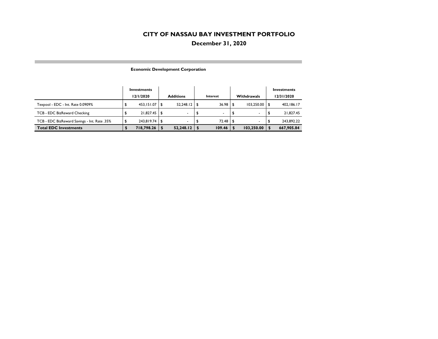## **December 31, 2020**

| <b>Economic Development Corporation</b> |  |
|-----------------------------------------|--|
|-----------------------------------------|--|

|                                              | Investments |      |                  |     |          |      | Investments        |                  |
|----------------------------------------------|-------------|------|------------------|-----|----------|------|--------------------|------------------|
|                                              | 12/1/2020   |      | <b>Additions</b> |     | Interest |      | <b>Withdrawals</b> | 12/31/2020       |
| Texpool - EDC - Int. Rate 0.0909%            | 453.151.07  |      | 52,248.12        | ∣\$ | 36.98    |      | 103,250.00         | 402,186.17       |
| TCB - EDC BizReward Checking                 | 21.827.45   | l Si |                  | \$  |          | -\$  |                    | 21,827.45        |
| TCB - EDC BizReward Savings - Int. Rate .35% | 243.819.74  | l S  |                  |     | 72.48    | - \$ |                    | \$<br>243.892.22 |
| <b>Total EDC Investments</b>                 | 718,798.26  |      | 52,248.12        |     | 109.46   |      | 103,250.00         | 667,905.84       |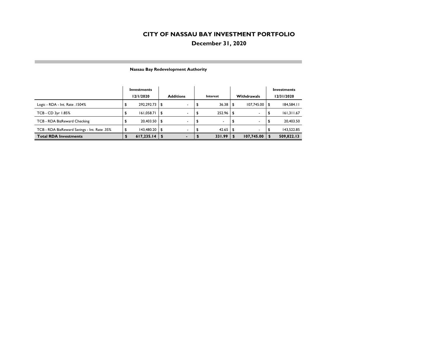## **December 31, 2020**

|                                              | Investments<br>12/1/2020 |            |      | <b>Additions</b>         | Interest |        |    | <b>Withdrawals</b>       | Investments<br>12/31/2020 |            |  |  |
|----------------------------------------------|--------------------------|------------|------|--------------------------|----------|--------|----|--------------------------|---------------------------|------------|--|--|
|                                              |                          |            |      |                          |          |        |    |                          |                           |            |  |  |
| Logic - RDA - Int. Rate .1504%               | ₽                        | 292,292.73 | -\$  | $\blacksquare$           | \$       | 36.38  |    | 107,745.00               | - \$                      | 184,584.11 |  |  |
| TCB - CD 3yr 1.85%                           | \$                       | 161,058.71 | -\$  | $\overline{\phantom{a}}$ | \$       | 252.96 | \$ |                          | \$                        | 161,311.67 |  |  |
| TCB - RDA BizReward Checking                 |                          | 20,403.50  | l \$ | $\overline{\phantom{a}}$ | \$       |        | \$ |                          |                           | 20,403.50  |  |  |
| TCB - RDA BizReward Savings - Int. Rate .35% |                          | 143,480.20 | ∣\$  | $\blacksquare$           | Φ        | 42.65  | \$ | $\overline{\phantom{a}}$ | ъ                         | 143,522.85 |  |  |
| <b>Total RDA Investments</b>                 |                          | 617,235.14 |      |                          |          | 331.99 |    | 107,745.00               |                           | 509,822.13 |  |  |

#### **Nassau Bay Redevelopment Authority**